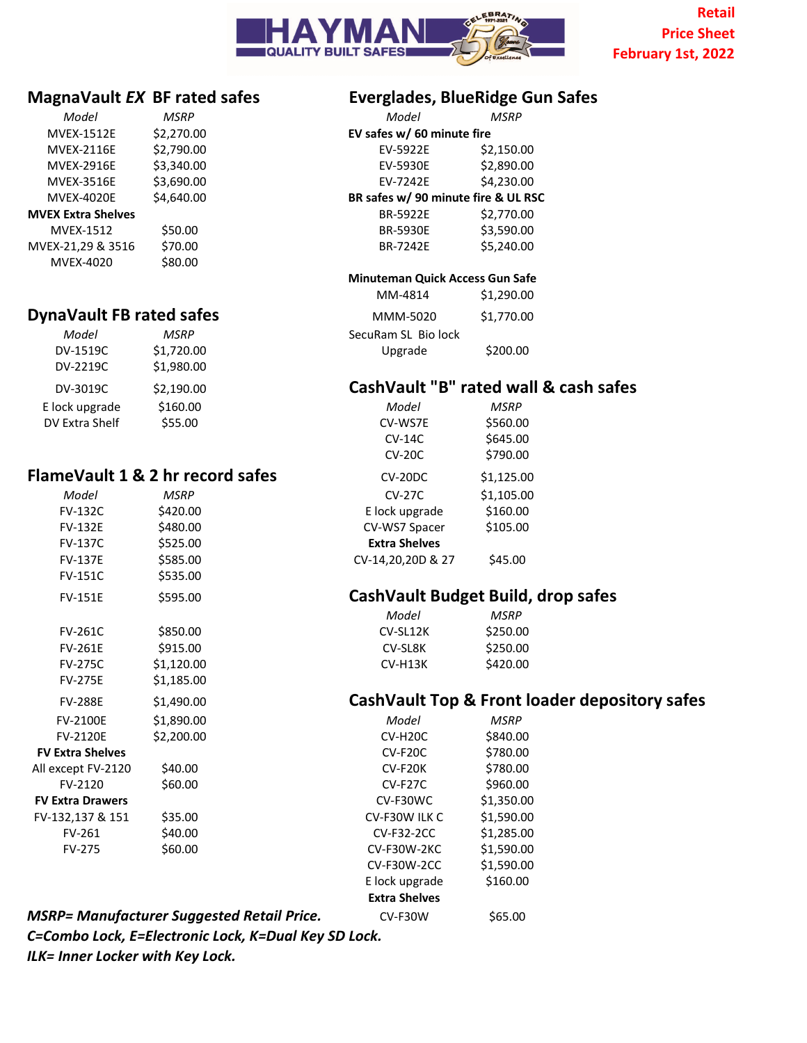

Retail Price Sheet February 1st, 2022

| Model                     | <b>MSRP</b> | Model                      |
|---------------------------|-------------|----------------------------|
| <b>MVEX-1512E</b>         | \$2,270.00  | EV safes w/ 60 minute fire |
| <b>MVEX-2116E</b>         | \$2,790.00  | \$2<br>EV-5922E            |
| <b>MVEX-2916E</b>         | \$3,340.00  | \$2<br>EV-5930E            |
| <b>MVEX-3516E</b>         | \$3,690.00  | Ś4<br>EV-7242E             |
| <b>MVEX-4020E</b>         | \$4,640.00  | BR safes w/90 minute fire  |
| <b>MVEX Extra Shelves</b> |             | \$2<br><b>BR-5922E</b>     |
| <b>MVEX-1512</b>          | \$50.00     | \$3<br><b>BR-5930E</b>     |
| MVEX-21,29 & 3516         | \$70.00     | \$5<br>BR-7242E            |
| MVEX-4020                 | \$80.00     |                            |
|                           |             |                            |

#### DynaVault FB rated safes

| Model          | <b>MSRP</b> | SecuRam SL Bio lock |
|----------------|-------------|---------------------|
| DV-1519C       | \$1,720.00  | Upgrade             |
| DV-2219C       | \$1,980.00  |                     |
| DV-3019C       | \$2,190.00  | CashVault "B"       |
| E lock upgrade | \$160.00    | Model               |
| DV Extra Shelf | \$55.00     | CV-WS7E             |

# FlameVault 1 & 2 hr record safes

| Model            | MSRP       | CV-27C               |
|------------------|------------|----------------------|
| <b>FV-132C</b>   | \$420.00   | E lock upgrade       |
| <b>FV-132E</b>   | \$480.00   | CV-WS7 Space         |
| <b>FV-137C</b>   | \$525.00   | <b>Extra Shelves</b> |
| <b>FV-137E</b>   | \$585.00   | CV-14,20,20D &       |
| <b>FV-151C</b>   | \$535.00   |                      |
| <b>FV-151E</b>   | \$595.00   | <b>CashVault B</b>   |
|                  |            | Model                |
| <b>FV-261C</b>   | \$850.00   | CV-SL12K             |
| <b>FV-261E</b>   | \$915.00   | CV-SL8K              |
| <b>FV-275C</b>   | \$1,120.00 | CV-H13K              |
| <b>FV-275E</b>   | \$1,185.00 |                      |
| <b>FV-288E</b>   | \$1,490.00 | <b>CashVault To</b>  |
| <b>FV-2100E</b>  | \$1,890.00 | Model                |
| <b>FV-2120E</b>  | \$2,200.00 | CV-H20C              |
| V Extra Shelves  |            | $CV-F20C$            |
| l except FV-2120 | \$40.00    | CV-F20K              |
| FV-2120          | \$60.00    | $CV-F27C$            |
| V Extra Drawers  |            | CV-F30WC             |
| /-132,137 & 151  | \$35.00    | CV-F30W ILK C        |
| FV-261           | \$40.00    | <b>CV-F32-2CC</b>    |
| FV-275           | \$60.00    | CV-F30W-2KC          |
|                  |            | CV-F30W-2CC          |

### MagnaVault EX BF rated safes Everglades, BlueRidge Gun Safes

|                                 |                                             | ---,                                |                                                          |
|---------------------------------|---------------------------------------------|-------------------------------------|----------------------------------------------------------|
| Model                           | <b>MSRP</b>                                 | Model                               | <b>MSRP</b>                                              |
| <b>MVEX-1512E</b>               | \$2,270.00                                  | EV safes w/ 60 minute fire          |                                                          |
| <b>MVEX-2116E</b>               | \$2,790.00                                  | EV-5922E                            | \$2,150.00                                               |
| <b>MVEX-2916E</b>               | \$3,340.00                                  | EV-5930E                            | \$2,890.00                                               |
| <b>MVEX-3516E</b>               | \$3,690.00                                  | EV-7242E                            | \$4,230.00                                               |
| <b>MVEX-4020E</b>               | \$4,640.00                                  | BR safes w/ 90 minute fire & UL RSC |                                                          |
| <b>MVEX Extra Shelves</b>       |                                             | BR-5922E                            | \$2,770.00                                               |
| MVEX-1512                       | \$50.00                                     | <b>BR-5930E</b>                     | \$3,590.00                                               |
| MVEX-21,29 & 3516               | \$70.00                                     | <b>BR-7242E</b>                     | \$5,240.00                                               |
| MVEX-4020                       | \$80.00                                     |                                     |                                                          |
|                                 |                                             | Minuteman Quick Access Gun Safe     |                                                          |
|                                 |                                             | MM-4814                             | \$1,290.00                                               |
| <b>DynaVault FB rated safes</b> |                                             | MMM-5020                            | \$1,770.00                                               |
| Model                           | <b>MSRP</b>                                 | SecuRam SL Bio lock                 |                                                          |
| DV-1519C                        | \$1,720.00                                  | Upgrade                             | \$200.00                                                 |
| DV-2219C                        | \$1,980.00                                  |                                     |                                                          |
| DV-3019C                        | \$2,190.00                                  |                                     | CashVault "B" rated wall & cash safes                    |
| E lock upgrade                  | \$160.00                                    | Model                               | <b>MSRP</b>                                              |
| DV Extra Shelf                  | \$55.00                                     | CV-WS7E                             | \$560.00                                                 |
|                                 |                                             | $CV-14C$                            | \$645.00                                                 |
|                                 |                                             | $CV-20C$                            | \$790.00                                                 |
|                                 |                                             |                                     |                                                          |
|                                 | <b>FlameVault 1 &amp; 2 hr record safes</b> | CV-20DC                             | \$1,125.00                                               |
| Model                           | <b>MSRP</b>                                 | <b>CV-27C</b>                       | \$1,105.00                                               |
| <b>FV-132C</b>                  | \$420.00                                    | E lock upgrade                      | \$160.00                                                 |
| <b>FV-132E</b>                  | \$480.00                                    | CV-WS7 Spacer                       | \$105.00                                                 |
| <b>FV-137C</b>                  | \$525.00                                    | <b>Extra Shelves</b>                |                                                          |
| <b>FV-137E</b>                  | \$585.00                                    | CV-14,20,20D & 27                   | \$45.00                                                  |
| <b>FV-151C</b>                  | \$535.00                                    |                                     |                                                          |
| <b>FV-151E</b>                  | \$595.00                                    |                                     | CashVault Budget Build, drop safes                       |
|                                 |                                             | Model                               | <b>MSRP</b>                                              |
| FV-261C                         | \$850.00                                    | CV-SL12K                            | \$250.00                                                 |
| <b>FV-261E</b>                  | \$915.00                                    | CV-SL8K                             | \$250.00                                                 |
| <b>FV-275C</b>                  | \$1,120.00                                  | CV-H13K                             | \$420.00                                                 |
| <b>FV-275E</b>                  | \$1,185.00                                  |                                     |                                                          |
|                                 |                                             |                                     |                                                          |
| <b>FV-288E</b>                  | \$1,490.00                                  |                                     | <b>CashVault Top &amp; Front loader depository safes</b> |
| FV-2100E                        | \$1,890.00                                  | Model                               | <b>MSRP</b>                                              |
| FV-2120E                        | \$2,200.00                                  | CV-H20C                             | \$840.00                                                 |
| <b>FV Extra Shelves</b>         |                                             | CV-F20C                             | \$780.00                                                 |
| All except FV-2120              | \$40.00                                     | CV-F20K                             | \$780.00                                                 |
| FV-2120                         | \$60.00                                     | CV-F27C                             | \$960.00                                                 |
| <b>FV Extra Drawers</b>         |                                             | CV-F30WC                            | \$1,350.00                                               |
| FV-132,137 & 151                | \$35.00                                     | CV-F30W ILK C                       | \$1,590.00                                               |
| FV-261                          | \$40.00                                     | <b>CV-F32-2CC</b>                   | \$1,285.00                                               |
| FV-275                          | \$60.00                                     | CV-F30W-2KC                         | \$1,590.00                                               |
|                                 |                                             | CV-F30W-2CC                         | \$1,590.00                                               |
|                                 |                                             | E lock upgrade                      | \$160.00                                                 |
|                                 |                                             | <b>Extra Shelves</b>                |                                                          |
|                                 |                                             |                                     |                                                          |

MSRP= Manufacturer Suggested Retail Price. CV-F30W \$65.00

C=Combo Lock, E=Electronic Lock, K=Dual Key SD Lock. ILK= Inner Locker with Key Lock.